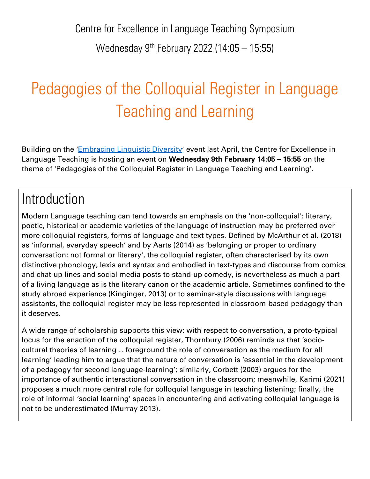Centre for Excellence in Language Teaching Symposium Wednesday 9th February 2022 (14:05 – 15:55)

# Pedagogies of the Colloquial Register in Language Teaching and Learning

Building on the '*[Embracing Linguistic Diversity](https://celt.leeds.ac.uk/recordings-resources/embracing-linguistic-diversity-23-april-2021/)'* event last April, the Centre for Excellence in Language Teaching is hosting an event on **Wednesday 9th February 14:05 – 15:55** on the theme of 'Pedagogies of the Colloquial Register in Language Teaching and Learning'.

# Introduction

Modern Language teaching can tend towards an emphasis on the 'non-colloquial': literary, poetic, historical or academic varieties of the language of instruction may be preferred over more colloquial registers, forms of language and text types. Defined by McArthur et al. (2018) as 'informal, everyday speech' and by Aarts (2014) as 'belonging or proper to ordinary conversation; not formal or literary', the colloquial register, often characterised by its own distinctive phonology, lexis and syntax and embodied in text-types and discourse from comics and chat-up lines and social media posts to stand-up comedy, is nevertheless as much a part of a living language as is the literary canon or the academic article. Sometimes confined to the study abroad experience (Kinginger, 2013) or to seminar-style discussions with language assistants, the colloquial register may be less represented in classroom-based pedagogy than it deserves.

A wide range of scholarship supports this view: with respect to conversation, a proto-typical locus for the enaction of the colloquial register, Thornbury (2006) reminds us that 'sociocultural theories of learning … foreground the role of conversation as the medium for all learning' leading him to argue that the nature of conversation is 'essential in the development of a pedagogy for second language-learning'; similarly, Corbett (2003) argues for the importance of authentic interactional conversation in the classroom; meanwhile, Karimi (2021) proposes a much more central role for colloquial language in teaching listening; finally, the role of informal 'social learning' spaces in encountering and activating colloquial language is not to be underestimated (Murray 2013).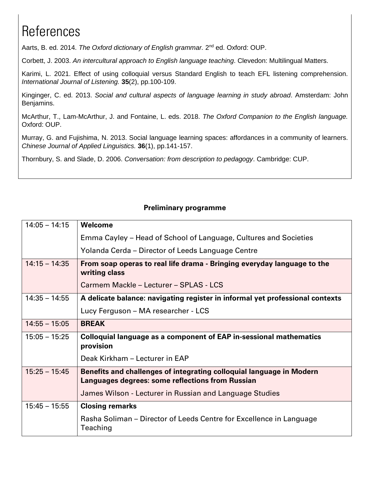# **References**

Aarts, B. ed. 2014. The Oxford dictionary of English grammar. 2<sup>nd</sup> ed. Oxford: OUP.

Corbett, J. 2003. *An intercultural approach to English language teaching*. Clevedon: Multilingual Matters.

Karimi, L. 2021. Effect of using colloquial versus Standard English to teach EFL listening comprehension. *International Journal of Listening.* **35**(2), pp.100-109.

Kinginger, C. ed. 2013. *Social and cultural aspects of language learning in study abroad*. Amsterdam: John Benjamins.

McArthur, T., Lam-McArthur, J. and Fontaine, L. eds. 2018. *The Oxford Companion to the English language.*  Oxford: OUP.

Murray, G. and Fujishima, N. 2013. Social language learning spaces: affordances in a community of learners. *Chinese Journal of Applied Linguistics.* **36**(1), pp.141-157.

Thornbury, S. and Slade, D. 2006. *Conversation: from description to pedagogy*. Cambridge: CUP.

#### **Preliminary programme**

| $14:05 - 14:15$ | <b>Welcome</b>                                                                                                           |
|-----------------|--------------------------------------------------------------------------------------------------------------------------|
|                 | Emma Cayley – Head of School of Language, Cultures and Societies                                                         |
|                 | Yolanda Cerda – Director of Leeds Language Centre                                                                        |
| $14:15 - 14:35$ | From soap operas to real life drama - Bringing everyday language to the<br>writing class                                 |
|                 | Carmem Mackle - Lecturer - SPLAS - LCS                                                                                   |
| $14:35 - 14:55$ | A delicate balance: navigating register in informal yet professional contexts                                            |
|                 | Lucy Ferguson – MA researcher - LCS                                                                                      |
| $14:55 - 15:05$ | <b>BREAK</b>                                                                                                             |
| $15:05 - 15:25$ | Colloquial language as a component of EAP in-sessional mathematics<br>provision                                          |
|                 | Deak Kirkham - Lecturer in EAP                                                                                           |
| $15:25 - 15:45$ | Benefits and challenges of integrating colloquial language in Modern<br>Languages degrees: some reflections from Russian |
|                 | James Wilson - Lecturer in Russian and Language Studies                                                                  |
| $15:45 - 15:55$ | <b>Closing remarks</b>                                                                                                   |
|                 | Rasha Soliman – Director of Leeds Centre for Excellence in Language<br>Teaching                                          |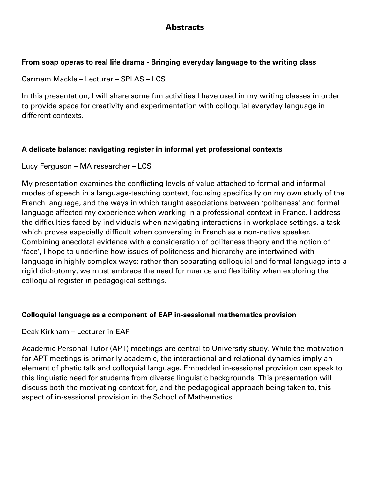# **Abstracts**

### **From soap operas to real life drama - Bringing everyday language to the writing class**

Carmem Mackle – Lecturer – SPLAS – LCS

In this presentation, I will share some fun activities I have used in my writing classes in order to provide space for creativity and experimentation with colloquial everyday language in different contexts.

# **A delicate balance: navigating register in informal yet professional contexts**

Lucy Ferguson – MA researcher – LCS

My presentation examines the conflicting levels of value attached to formal and informal modes of speech in a language-teaching context, focusing specifically on my own study of the French language, and the ways in which taught associations between 'politeness' and formal language affected my experience when working in a professional context in France. I address the difficulties faced by individuals when navigating interactions in workplace settings, a task which proves especially difficult when conversing in French as a non-native speaker. Combining anecdotal evidence with a consideration of politeness theory and the notion of 'face', I hope to underline how issues of politeness and hierarchy are intertwined with language in highly complex ways; rather than separating colloquial and formal language into a rigid dichotomy, we must embrace the need for nuance and flexibility when exploring the colloquial register in pedagogical settings.

## **Colloquial language as a component of EAP in-sessional mathematics provision**

Deak Kirkham – Lecturer in EAP

Academic Personal Tutor (APT) meetings are central to University study. While the motivation for APT meetings is primarily academic, the interactional and relational dynamics imply an element of phatic talk and colloquial language. Embedded in-sessional provision can speak to this linguistic need for students from diverse linguistic backgrounds. This presentation will discuss both the motivating context for, and the pedagogical approach being taken to, this aspect of in-sessional provision in the School of Mathematics.